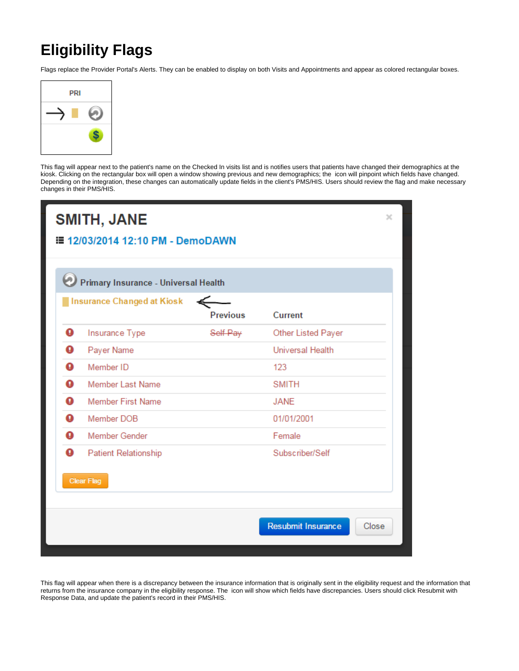## **Eligibility Flags**

Flags replace the Provider Portal's Alerts. They can be enabled to display on both Visits and Appointments and appear as colored rectangular boxes.



This flag will appear next to the patient's name on the Checked In visits list and is notifies users that patients have changed their demographics at the kiosk. Clicking on the rectangular box will open a window showing previous and new demographics; the icon will pinpoint which fields have changed. Depending on the integration, these changes can automatically update fields in the client's PMS/HIS. Users should review the flag and make necessary changes in their PMS/HIS.



This flag will appear when there is a discrepancy between the insurance information that is originally sent in the eligibility request and the information that returns from the insurance company in the eligibility response. The icon will show which fields have discrepancies. Users should click Resubmit with Response Data, and update the patient's record in their PMS/HIS.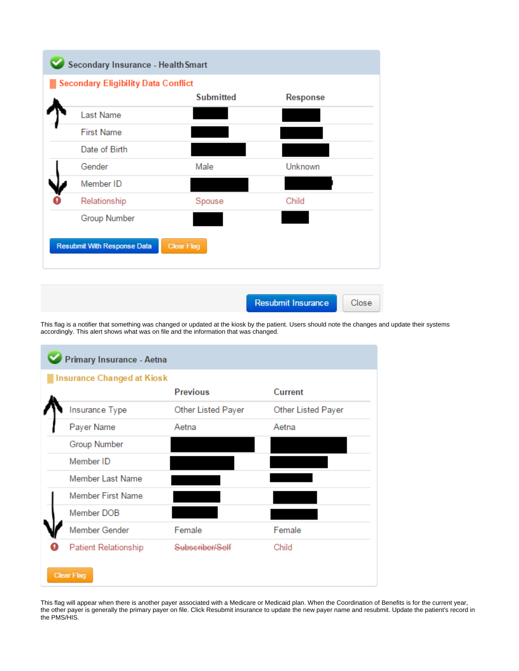

This flag is a notifier that something was changed or updated at the kiosk by the patient. Users should note the changes and update their systems accordingly. This alert shows what was on file and the information that was changed.

| Primary Insurance - Aetna         |                             |                    |                    |  |
|-----------------------------------|-----------------------------|--------------------|--------------------|--|
| <b>Insurance Changed at Kiosk</b> |                             |                    |                    |  |
|                                   |                             | <b>Previous</b>    | <b>Current</b>     |  |
|                                   | Insurance Type              | Other Listed Payer | Other Listed Payer |  |
|                                   | Payer Name                  | Aetna              | Aetna              |  |
|                                   | Group Number                |                    |                    |  |
|                                   | Member ID                   |                    |                    |  |
|                                   | Member Last Name            |                    |                    |  |
|                                   | <b>Member First Name</b>    |                    |                    |  |
|                                   | Member DOB                  |                    |                    |  |
|                                   | Member Gender               | Female             | Female             |  |
|                                   | <b>Patient Relationship</b> | Subscriber/Self    | Child              |  |
| <b>Clear Flag</b>                 |                             |                    |                    |  |

This flag will appear when there is another payer associated with a Medicare or Medicaid plan. When the Coordination of Benefits is for the current year, the other payer is generally the primary payer on file. Click Resubmit insurance to update the new payer name and resubmit. Update the patient's record in the PMS/HIS.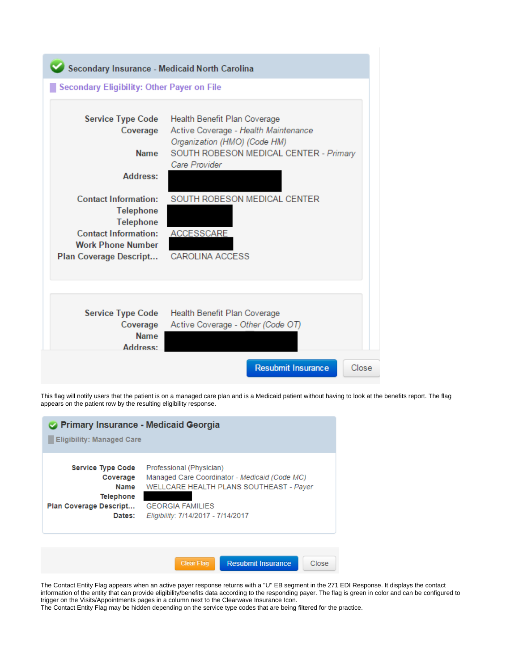

This flag will notify users that the patient is on a managed care plan and is a Medicaid patient without having to look at the benefits report. The flag appears on the patient row by the resulting eligibility response.

| <b>Primary Insurance - Medicaid Georgia</b><br><b>Eligibility: Managed Care</b>                             |                                                                                                                                                                                       |  |
|-------------------------------------------------------------------------------------------------------------|---------------------------------------------------------------------------------------------------------------------------------------------------------------------------------------|--|
| <b>Service Type Code</b><br>Coverage<br><b>Name</b><br><b>Telephone</b><br>Plan Coverage Descript<br>Dates: | Professional (Physician)<br>Managed Care Coordinator - Medicaid (Code MC)<br>WELLCARE HEALTH PLANS SOUTHEAST - Payer<br><b>GEORGIA FAMILIES</b><br>Eligibility: 7/14/2017 - 7/14/2017 |  |
|                                                                                                             | <b>Resubmit Insurance</b><br><b>Clear Flag</b><br>Close                                                                                                                               |  |

The Contact Entity Flag appears when an active payer response returns with a "U" EB segment in the 271 EDI Response. It displays the contact information of the entity that can provide eligibility/benefits data according to the responding payer. The flag is green in color and can be configured to trigger on the Visits/Appointments pages in a column next to the Clearwave Insurance Icon.

The Contact Entity Flag may be hidden depending on the service type codes that are being filtered for the practice.